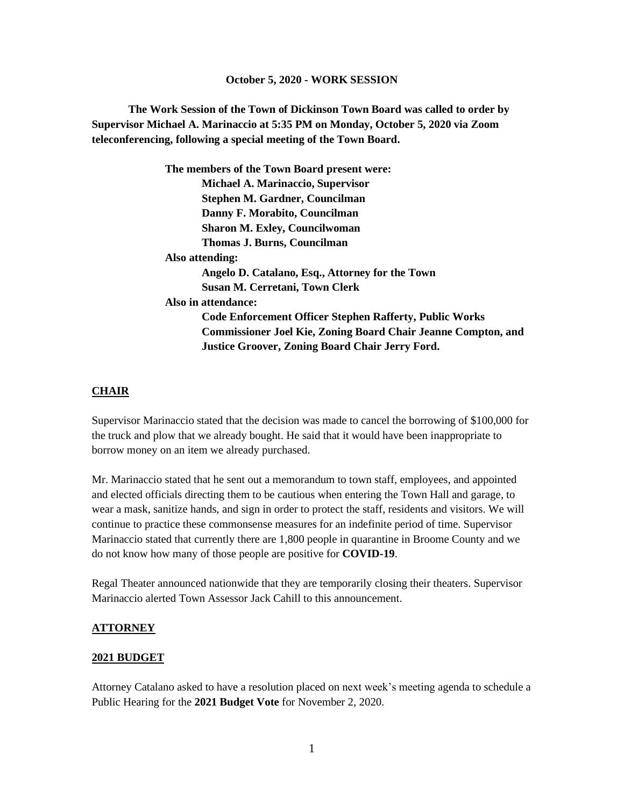#### **October 5, 2020 - WORK SESSION**

**The Work Session of the Town of Dickinson Town Board was called to order by Supervisor Michael A. Marinaccio at 5:35 PM on Monday, October 5, 2020 via Zoom teleconferencing, following a special meeting of the Town Board.**

> **The members of the Town Board present were: Michael A. Marinaccio, Supervisor Stephen M. Gardner, Councilman Danny F. Morabito, Councilman Sharon M. Exley, Councilwoman Thomas J. Burns, Councilman Also attending: Angelo D. Catalano, Esq., Attorney for the Town Susan M. Cerretani, Town Clerk Also in attendance: Code Enforcement Officer Stephen Rafferty, Public Works Commissioner Joel Kie, Zoning Board Chair Jeanne Compton, and Justice Groover, Zoning Board Chair Jerry Ford.**

#### **CHAIR**

Supervisor Marinaccio stated that the decision was made to cancel the borrowing of \$100,000 for the truck and plow that we already bought. He said that it would have been inappropriate to borrow money on an item we already purchased.

Mr. Marinaccio stated that he sent out a memorandum to town staff, employees, and appointed and elected officials directing them to be cautious when entering the Town Hall and garage, to wear a mask, sanitize hands, and sign in order to protect the staff, residents and visitors. We will continue to practice these commonsense measures for an indefinite period of time. Supervisor Marinaccio stated that currently there are 1,800 people in quarantine in Broome County and we do not know how many of those people are positive for **COVID-19**.

Regal Theater announced nationwide that they are temporarily closing their theaters. Supervisor Marinaccio alerted Town Assessor Jack Cahill to this announcement.

#### **ATTORNEY**

#### **2021 BUDGET**

Attorney Catalano asked to have a resolution placed on next week's meeting agenda to schedule a Public Hearing for the **2021 Budget Vote** for November 2, 2020.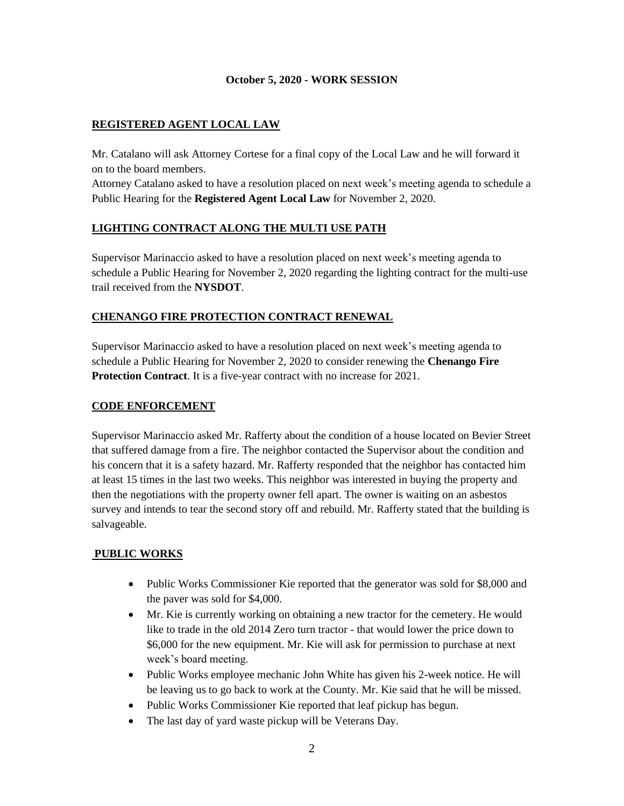### **October 5, 2020 - WORK SESSION**

## **REGISTERED AGENT LOCAL LAW**

Mr. Catalano will ask Attorney Cortese for a final copy of the Local Law and he will forward it on to the board members.

Attorney Catalano asked to have a resolution placed on next week's meeting agenda to schedule a Public Hearing for the **Registered Agent Local Law** for November 2, 2020.

# **LIGHTING CONTRACT ALONG THE MULTI USE PATH**

Supervisor Marinaccio asked to have a resolution placed on next week's meeting agenda to schedule a Public Hearing for November 2, 2020 regarding the lighting contract for the multi-use trail received from the **NYSDOT**.

# **CHENANGO FIRE PROTECTION CONTRACT RENEWAL**

Supervisor Marinaccio asked to have a resolution placed on next week's meeting agenda to schedule a Public Hearing for November 2, 2020 to consider renewing the **Chenango Fire Protection Contract**. It is a five-year contract with no increase for 2021.

### **CODE ENFORCEMENT**

Supervisor Marinaccio asked Mr. Rafferty about the condition of a house located on Bevier Street that suffered damage from a fire. The neighbor contacted the Supervisor about the condition and his concern that it is a safety hazard. Mr. Rafferty responded that the neighbor has contacted him at least 15 times in the last two weeks. This neighbor was interested in buying the property and then the negotiations with the property owner fell apart. The owner is waiting on an asbestos survey and intends to tear the second story off and rebuild. Mr. Rafferty stated that the building is salvageable.

# **PUBLIC WORKS**

- Public Works Commissioner Kie reported that the generator was sold for \$8,000 and the paver was sold for \$4,000.
- Mr. Kie is currently working on obtaining a new tractor for the cemetery. He would like to trade in the old 2014 Zero turn tractor - that would lower the price down to \$6,000 for the new equipment. Mr. Kie will ask for permission to purchase at next week's board meeting.
- Public Works employee mechanic John White has given his 2-week notice. He will be leaving us to go back to work at the County. Mr. Kie said that he will be missed.
- Public Works Commissioner Kie reported that leaf pickup has begun.
- The last day of yard waste pickup will be Veterans Day.